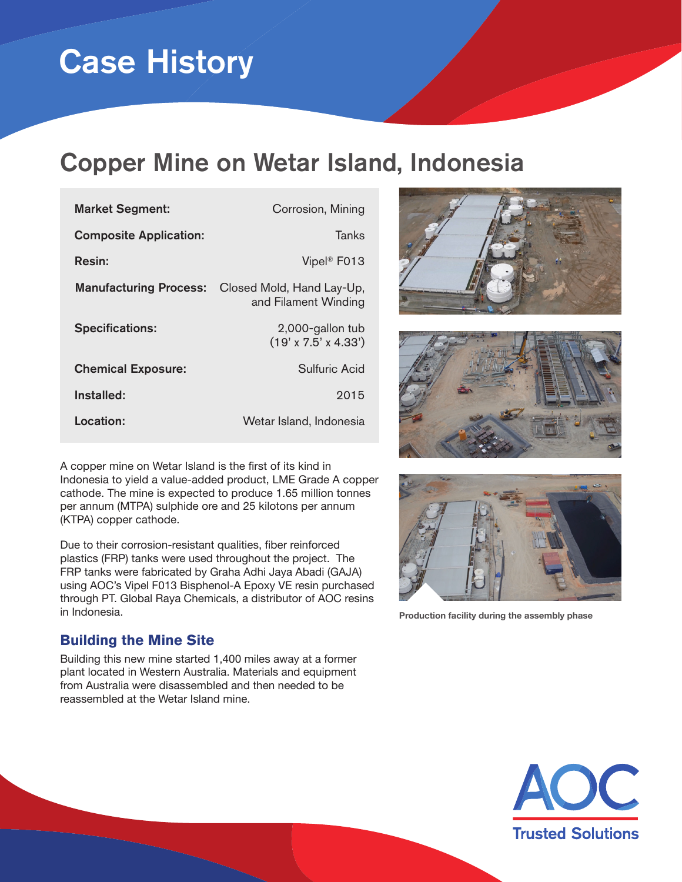# Case History

## Copper Mine on Wetar Island, Indonesia

| <b>Market Segment:</b>        | Corrosion, Mining                                    |
|-------------------------------|------------------------------------------------------|
| <b>Composite Application:</b> | Tanks                                                |
| <b>Resin:</b>                 | Vipel <sup>®</sup> F013                              |
| <b>Manufacturing Process:</b> | Closed Mold, Hand Lay-Up,<br>and Filament Winding    |
| <b>Specifications:</b>        | 2,000-gallon tub<br>$(19' \times 7.5' \times 4.33')$ |
| <b>Chemical Exposure:</b>     | Sulfuric Acid                                        |
| Installed:                    | 2015                                                 |
| Location:                     | Wetar Island, Indonesia                              |

A copper mine on Wetar Island is the first of its kind in Indonesia to yield a value-added product, LME Grade A copper cathode. The mine is expected to produce 1.65 million tonnes per annum (MTPA) sulphide ore and 25 kilotons per annum (KTPA) copper cathode.

Due to their corrosion-resistant qualities, fiber reinforced plastics (FRP) tanks were used throughout the project. The FRP tanks were fabricated by Graha Adhi Jaya Abadi (GAJA) using AOC's Vipel F013 Bisphenol-A Epoxy VE resin purchased through PT. Global Raya Chemicals, a distributor of AOC resins in Indonesia.

#### **Building the Mine Site**

Building this new mine started 1,400 miles away at a former plant located in Western Australia. Materials and equipment from Australia were disassembled and then needed to be reassembled at the Wetar Island mine.







**Production facility during the assembly phase**

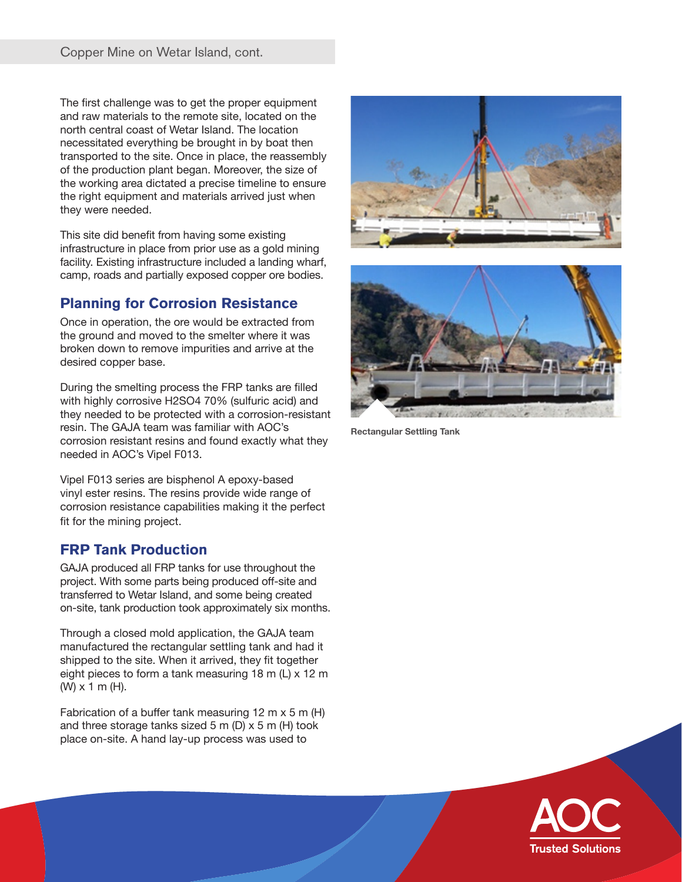The first challenge was to get the proper equipment and raw materials to the remote site, located on the north central coast of Wetar Island. The location necessitated everything be brought in by boat then transported to the site. Once in place, the reassembly of the production plant began. Moreover, the size of the working area dictated a precise timeline to ensure the right equipment and materials arrived just when they were needed.

This site did benefit from having some existing infrastructure in place from prior use as a gold mining facility. Existing infrastructure included a landing wharf, camp, roads and partially exposed copper ore bodies.

#### **Planning for Corrosion Resistance**

Once in operation, the ore would be extracted from the ground and moved to the smelter where it was broken down to remove impurities and arrive at the desired copper base.

During the smelting process the FRP tanks are filled with highly corrosive H2SO4 70% (sulfuric acid) and they needed to be protected with a corrosion-resistant resin. The GAJA team was familiar with AOC's corrosion resistant resins and found exactly what they needed in AOC's Vipel F013.

Vipel F013 series are bisphenol A epoxy-based vinyl ester resins. The resins provide wide range of corrosion resistance capabilities making it the perfect fit for the mining project.

#### **FRP Tank Production**

GAJA produced all FRP tanks for use throughout the project. With some parts being produced off-site and transferred to Wetar Island, and some being created on-site, tank production took approximately six months.

Through a closed mold application, the GAJA team manufactured the rectangular settling tank and had it shipped to the site. When it arrived, they fit together eight pieces to form a tank measuring 18 m (L) x 12 m (W) x 1 m (H).

Fabrication of a buffer tank measuring 12 m x 5 m (H) and three storage tanks sized 5 m (D) x 5 m (H) took place on-site. A hand lay-up process was used to





**Rectangular Settling Tank**